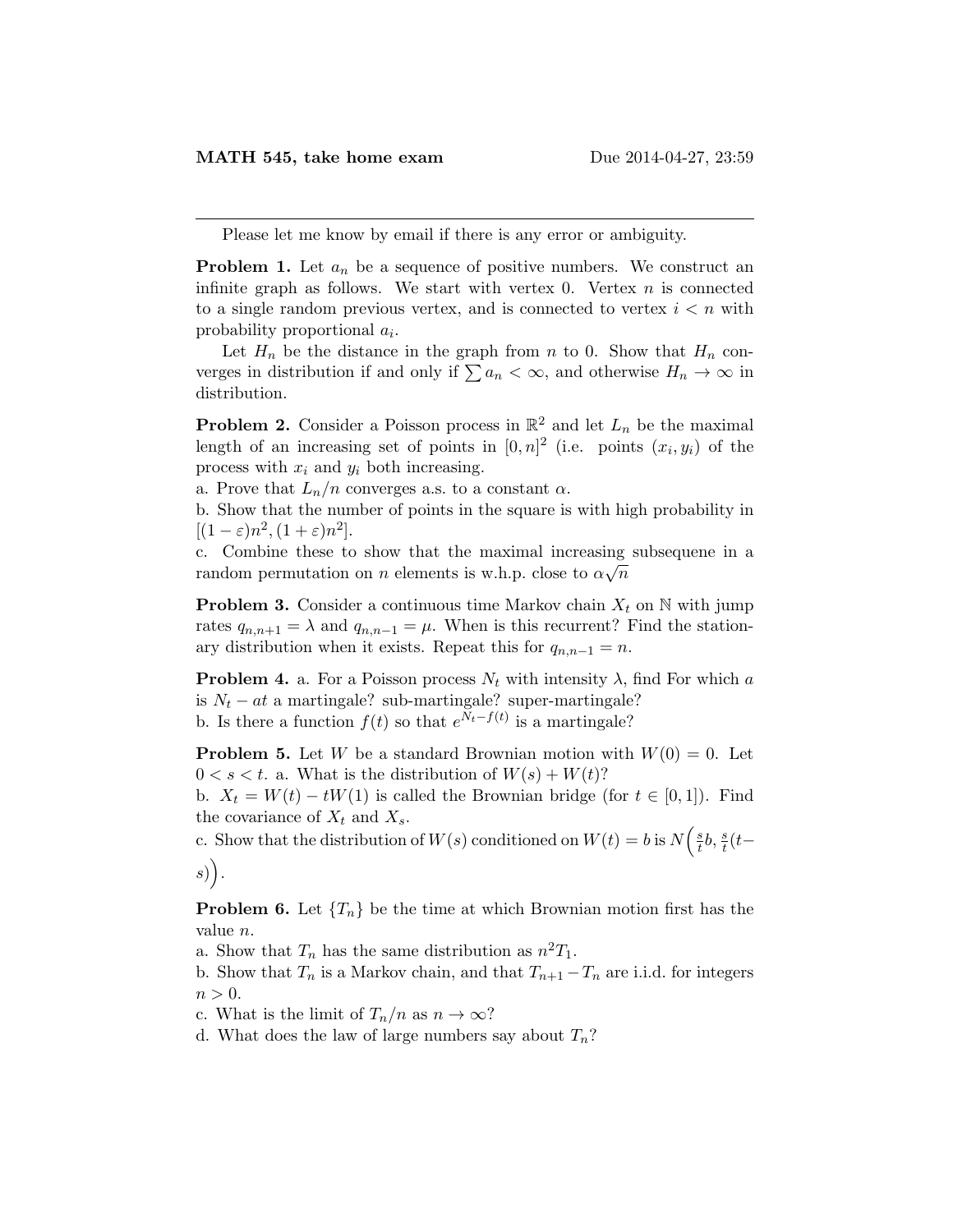Please let me know by email if there is any error or ambiguity.

**Problem 1.** Let  $a_n$  be a sequence of positive numbers. We construct an infinite graph as follows. We start with vertex 0. Vertex  $n$  is connected to a single random previous vertex, and is connected to vertex  $i < n$  with probability proportional  $a_i$ .

Let  $H_n$  be the distance in the graph from n to 0. Show that  $H_n$  converges in distribution if and only if  $\sum a_n < \infty$ , and otherwise  $H_n \to \infty$  in distribution.

**Problem 2.** Consider a Poisson process in  $\mathbb{R}^2$  and let  $L_n$  be the maximal length of an increasing set of points in  $[0,n]^2$  (i.e. points  $(x_i, y_i)$  of the process with  $x_i$  and  $y_i$  both increasing.

a. Prove that  $L_n/n$  converges a.s. to a constant  $\alpha$ .

b. Show that the number of points in the square is with high probability in  $[(1-\varepsilon)n^2, (1+\varepsilon)n^2].$ 

c. Combine these to show that the maximal increasing subsequene in a √ random permutation on n elements is w.h.p. close to  $\alpha\sqrt{n}$ 

**Problem 3.** Consider a continuous time Markov chain  $X_t$  on  $\mathbb N$  with jump rates  $q_{n,n+1} = \lambda$  and  $q_{n,n-1} = \mu$ . When is this recurrent? Find the stationary distribution when it exists. Repeat this for  $q_{n,n-1} = n$ .

**Problem 4.** a. For a Poisson process  $N_t$  with intensity  $\lambda$ , find For which a is  $N_t - at$  a martingale? sub-martingale? super-martingale? b. Is there a function  $f(t)$  so that  $e^{N_t-f(t)}$  is a martingale?

**Problem 5.** Let W be a standard Brownian motion with  $W(0) = 0$ . Let  $0 < s < t$ . a. What is the distribution of  $W(s) + W(t)$ ?

b.  $X_t = W(t) - tW(1)$  is called the Brownian bridge (for  $t \in [0, 1]$ ). Find the covariance of  $X_t$  and  $X_s$ .

c. Show that the distribution of  $W(s)$  conditioned on  $W(t) = b$  is  $N\left(\frac{s}{t}\right)$  $\frac{s}{t}b, \frac{s}{t}(t$  $s)$ .

**Problem 6.** Let  $\{T_n\}$  be the time at which Brownian motion first has the value n.

a. Show that  $T_n$  has the same distribution as  $n^2T_1$ .

b. Show that  $T_n$  is a Markov chain, and that  $T_{n+1}-T_n$  are i.i.d. for integers  $n > 0$ .

c. What is the limit of  $T_n/n$  as  $n \to \infty$ ?

d. What does the law of large numbers say about  $T_n$ ?